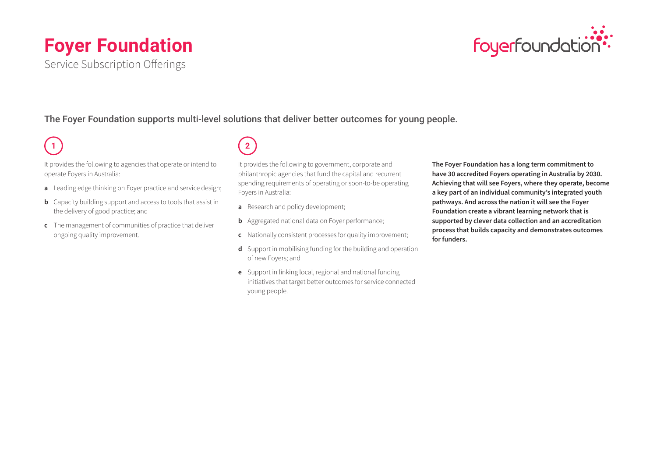# **Foyer Foundation**





The Foyer Foundation supports multi-level solutions that deliver better outcomes for young people.

## **1**

It provides the following to agencies that operate or intend to operate Foyers in Australia:

- **a** Leading edge thinking on Foyer practice and service design;
- **b** Capacity building support and access to tools that assist in the delivery of good practice; and
- **c** The management of communities of practice that deliver ongoing quality improvement.

**2**

It provides the following to government, corporate and philanthropic agencies that fund the capital and recurrent spending requirements of operating or soon-to-be operating Foyers in Australia:

- **a** Research and policy development;
- **b** Aggregated national data on Foyer performance;
- **c** Nationally consistent processes for quality improvement;
- **d** Support in mobilising funding for the building and operation of new Foyers; and
- **e** Support in linking local, regional and national funding initiatives that target better outcomes for service connected young people.

**The Foyer Foundation has a long term commitment to have 30 accredited Foyers operating in Australia by 2030. Achieving that will see Foyers, where they operate, become a key part of an individual community's integrated youth pathways. And across the nation it will see the Foyer Foundation create a vibrant learning network that is supported by clever data collection and an accreditation process that builds capacity and demonstrates outcomes for funders.**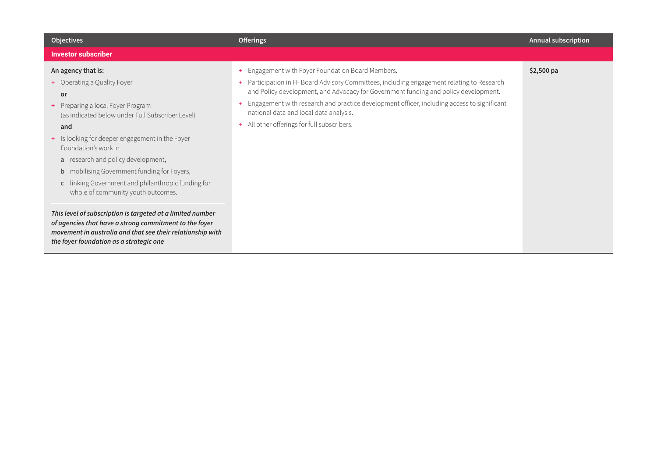| <b>Objectives</b>                                                                                                                                                                                                                                                                                                                                                                                                                                                                                                                                                                                                                                                                | <b>Offerings</b>                                                                                                                                                                                                                                                                                                                                                                                                                               | <b>Annual subscription</b> |
|----------------------------------------------------------------------------------------------------------------------------------------------------------------------------------------------------------------------------------------------------------------------------------------------------------------------------------------------------------------------------------------------------------------------------------------------------------------------------------------------------------------------------------------------------------------------------------------------------------------------------------------------------------------------------------|------------------------------------------------------------------------------------------------------------------------------------------------------------------------------------------------------------------------------------------------------------------------------------------------------------------------------------------------------------------------------------------------------------------------------------------------|----------------------------|
| <b>Investor subscriber</b>                                                                                                                                                                                                                                                                                                                                                                                                                                                                                                                                                                                                                                                       |                                                                                                                                                                                                                                                                                                                                                                                                                                                |                            |
| An agency that is:<br>+ Operating a Quality Foyer<br>or<br>+ Preparing a local Foyer Program<br>(as indicated below under Full Subscriber Level)<br>and<br>+ Is looking for deeper engagement in the Foyer<br>Foundation's work in<br>a research and policy development,<br>mobilising Government funding for Foyers,<br>$\mathsf{b}$<br>linking Government and philanthropic funding for<br>$\mathsf{C}$<br>whole of community youth outcomes.<br>This level of subscription is targeted at a limited number<br>of agencies that have a strong commitment to the foyer<br>movement in australia and that see their relationship with<br>the foyer foundation as a strategic one | Engagement with Foyer Foundation Board Members.<br>$+$<br>Participation in FF Board Advisory Committees, including engagement relating to Research<br>$\pm$<br>and Policy development, and Advocacy for Government funding and policy development.<br>Engagement with research and practice development officer, including access to significant<br>national data and local data analysis.<br>All other offerings for full subscribers.<br>$+$ | $$2,500$ pa                |